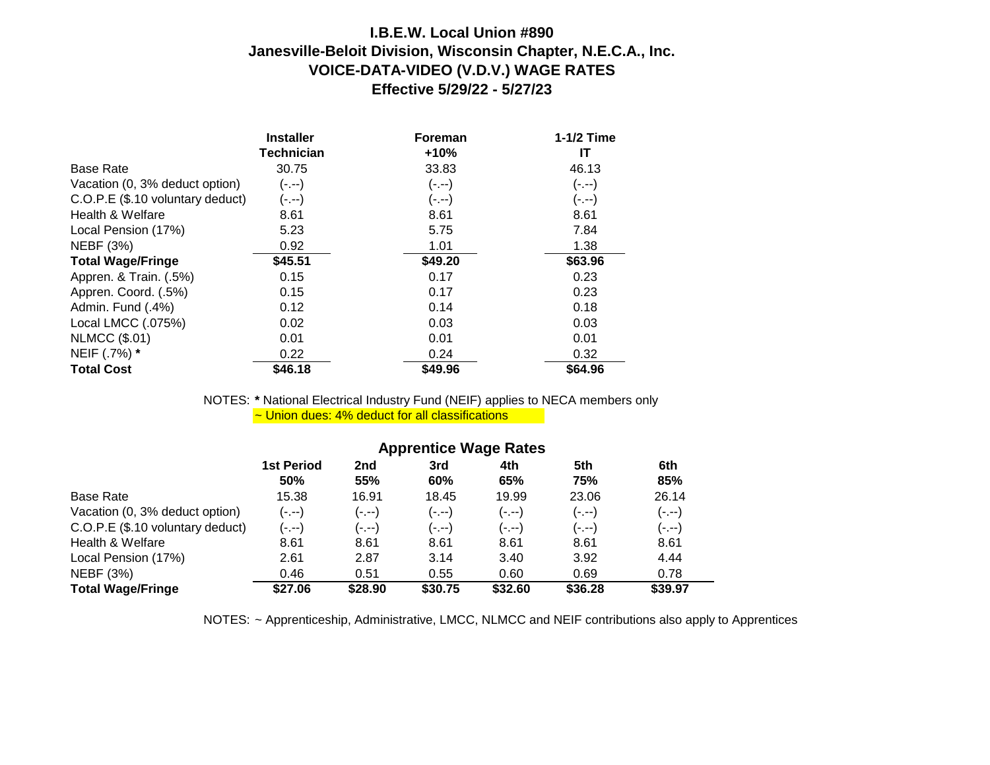## **I.B.E.W. Local Union #890 Janesville-Beloit Division, Wisconsin Chapter, N.E.C.A., Inc. VOICE-DATA-VIDEO (V.D.V.) WAGE RATES Effective 5/29/22 - 5/27/23**

|                                  | <b>Installer</b>  | <b>Foreman</b> | 1-1/2 Time |
|----------------------------------|-------------------|----------------|------------|
|                                  | <b>Technician</b> | $+10%$         | IT         |
| <b>Base Rate</b>                 | 30.75             | 33.83          | 46.13      |
| Vacation (0, 3% deduct option)   | $(-,-)$           | $(-,-)$        | $(-,-)$    |
| C.O.P.E (\$.10 voluntary deduct) | (-.--)            | $(-,-)$        | $(-,-)$    |
| Health & Welfare                 | 8.61              | 8.61           | 8.61       |
| Local Pension (17%)              | 5.23              | 5.75           | 7.84       |
| <b>NEBF</b> (3%)                 | 0.92              | 1.01           | 1.38       |
| <b>Total Wage/Fringe</b>         | \$45.51           | \$49.20        | \$63.96    |
| Appren. & Train. (.5%)           | 0.15              | 0.17           | 0.23       |
| Appren. Coord. (.5%)             | 0.15              | 0.17           | 0.23       |
| Admin. Fund (.4%)                | 0.12              | 0.14           | 0.18       |
| Local LMCC (.075%)               | 0.02              | 0.03           | 0.03       |
| <b>NLMCC (\$.01)</b>             | 0.01              | 0.01           | 0.01       |
| NEIF (.7%) *                     | 0.22              | 0.24           | 0.32       |
| <b>Total Cost</b>                | \$46.18           | \$49.96        | \$64.96    |

NOTES: **\*** National Electrical Industry Fund (NEIF) applies to NECA members only ~ Union dues: 4% deduct for all classifications

|                                  | <b>Apprentice Wage Rates</b>    |                        |            |            |            |            |  |
|----------------------------------|---------------------------------|------------------------|------------|------------|------------|------------|--|
|                                  | <b>1st Period</b><br><b>50%</b> | 2 <sub>nd</sub><br>55% | 3rd<br>60% | 4th<br>65% | 5th<br>75% | 6th<br>85% |  |
| <b>Base Rate</b>                 | 15.38                           | 16.91                  | 18.45      | 19.99      | 23.06      | 26.14      |  |
| Vacation (0, 3% deduct option)   | (-.--)                          | (-.--)                 | $(-,-)$    | (-.--)     | (-.--)     | (-.--)     |  |
| C.O.P.E (\$.10 voluntary deduct) | (----)                          | (-.--)                 | $(-,-)$    | (-.--)     | (----)     | (----)     |  |
| Health & Welfare                 | 8.61                            | 8.61                   | 8.61       | 8.61       | 8.61       | 8.61       |  |
| Local Pension (17%)              | 2.61                            | 2.87                   | 3.14       | 3.40       | 3.92       | 4.44       |  |
| NEBF (3%)                        | 0.46                            | 0.51                   | 0.55       | 0.60       | 0.69       | 0.78       |  |
| <b>Total Wage/Fringe</b>         | \$27.06                         | \$28.90                | \$30.75    | \$32.60    | \$36.28    | \$39.97    |  |

NOTES: ~ Apprenticeship, Administrative, LMCC, NLMCC and NEIF contributions also apply to Apprentices